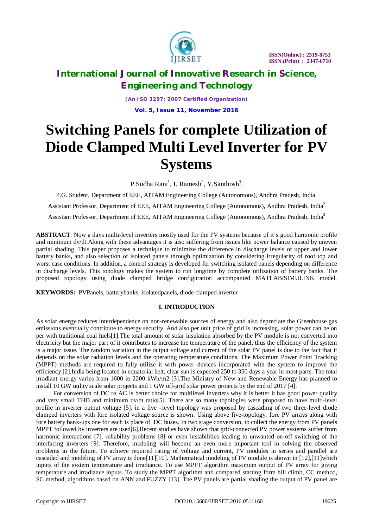

*(An ISO 3297: 2007 Certified Organization)* **Vol. 5, Issue 11, November 2016**

# **Switching Panels for complete Utilization of Diode Clamped Multi Level Inverter for PV Systems**

P.Sudha Rani<sup>1</sup>, I. Ramesh<sup>2</sup>, Y.Santhosh<sup>3</sup>.

P.G. Student, Department of EEE, AITAM Engineering College (Autonomous), Andhra Pradesh, India<sup>1</sup> Assistant Professor, Department of EEE, AITAM Engineering College (Autonomous), Andhra Pradesh, India<sup>2</sup> Assistant Professor, Department of EEE, AITAM Engineering College (Autonomous), Andhra Pradesh, India<sup>3</sup>

**ABSTRACT**: Now a days multi-level inverters mostly used for the PV systems because of it's good harmonic profile and minimum dv/dt.Along with these advantages it is also suffering from issues like power balance caused by uneven partial shading. This paper proposes a technique to minimize the difference in discharge levels of upper and lower battery banks**,** and also selection of isolated panels through optimization by considering irregularity of roof top and worst case conditions. In addition, a control strategy is developed for switching isolated panels depending on difference in discharge levels. This topology makes the system to run longtime by complete utilization of battery banks. The proposed topology using diode clamped bridge configuration accompanied MATLAB/SIMULINK model.

**KEYWORDS:** PVPanels, batterybanks, isolatedpanels, diode clamped inverter

#### **I. INTRODUCTION**

As solar energy reduces interdependence on non-renewable sources of energy and also depreciate the Greenhouse gas emissions eventually contribute to energy security. And also per unit price of grid Is increasing, solar power can be on per with traditional coal fuels[1].The total amount of solar insulation absorbed by the PV module is not converted into electricity but the major part of it contributes to increase the temperature of the panel, thus the efficiency of the system is a major issue. The random variation in the output voltage and current of the solar PV panel is due to the fact that it depends on the solar radiation levels and the operating temperature conditions. The Maximum Power Point Tracking (MPPT) methods are required to fully utilize it with power devices incorporated with the system to improve the efficiency [2].India being located in equatorial belt, clear sun is expected 250 to 350 days a year in most parts. The total irradiant energy varies from 1600 to 2200 kWh/m2 [3].The Ministry of New and Renewable Energy has planned to install 10 GW utility scale solar projects and 1 GW off-grid solar power projects by the end of 2017 [4].

 For conversion of DC to AC is better choice for multilevel inverters why it is better it has good power quality and very small THD and minimum dv/dt ratio[5]. There are so many topologies were proposed to have multi-level profile in inverter output voltage [5]. in a five –level topology was proposed by cascading of two three-level diode clamped inverters with fore isolated voltage source is shown. Using above five-topology, fore PV arrays along with fore battery bank-ups one for each is place of DC buses. In two stage conversion, to collect the energy from PV panels MPPT followed by inverters are used[6].Recent studies have shown that grid-connected PV power systems suffer from harmonic interactions [7], reliability problems [8] or even instabilities leading to unwanted on-off switching of the interfacing inverters [9]. Therefore, modeling will become an even more important tool in solving the observed problems in the future. To achieve required rating of voltage and current, PV modules in series and parallel are cascaded and modeling of PV array is done[11][10]. Mathematical modeling of PV module is shown in [12],[11]which inputs of the system temperature and irradiance. To use MPPT algorithm maximum output of PV array for giving temperature and irradiance inputs. To study the MPPT algorithm and compared starting form hill climb, OC method, SC method, algorithms based on ANN and FUZZY [13]. The PV panels are partial shading the output of PV panel are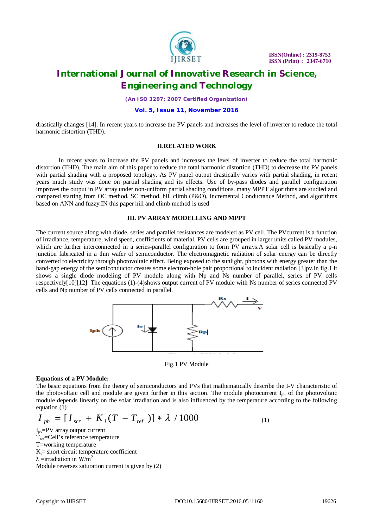

*(An ISO 3297: 2007 Certified Organization)*

#### **Vol. 5, Issue 11, November 2016**

drastically changes [14]. In recent years to increase the PV panels and increases the level of inverter to reduce the total harmonic distortion (THD).

#### **II.RELATED WORK**

In recent years to increase the PV panels and increases the level of inverter to reduce the total harmonic distortion (THD). The main aim of this paper to reduce the total harmonic distortion (THD) to decrease the PV panels with partial shading with a proposed topology. As PV panel output drastically varies with partial shading, in recent years much study was done on partial shading and its effects. Use of by-pass diodes and parallel configuration improves the output in PV array under non-uniform partial shading conditions. many MPPT algorithms are studied and compared starting from OC method, SC method, hill climb (P&O), Incremental Conductance Method, and algorithms based on ANN and fuzzy.IN this paper hill and climb method is used

#### **III. PV ARRAY MODELLING AND MPPT**

The current source along with diode, series and parallel resistances are modeled as PV cell. The PVcurrent is a function of irradiance, temperature, wind speed, coefficients of material. PV cells are grouped in larger units called PV modules, which are further interconnected in a series-parallel configuration to form PV arrays.A solar cell is basically a p-n junction fabricated in a thin wafer of semiconductor. The electromagnetic radiation of solar energy can be directly converted to electricity through photovoltaic effect. Being exposed to the sunlight, photons with energy greater than the band-gap energy of the semiconductor creates some electron-hole pair proportional to incident radiation [3]pv.In fig.1 it shows a single diode modeling of PV module along with Np and Ns number of parallel, series of PV cells respectively[10][12]. The equations (1)-(4)shows output current of PV module with Ns number of series connected PV cells and Np number of PV cells connected in parallel.



Fig.1 PV Module

#### **Equations of a PV Module:**

The basic equations from the theory of semiconductors and PVs that mathematically describe the I-V characteristic of the photovoltaic cell and module are given further in this section. The module photocurrent  $I_{ph}$  of the photovoltaic module depends linearly on the solar irradiation and is also influenced by the temperature according to the following equation (1)

$$
I_{ph} = [I_{scr} + K_i(T - T_{ref})] * \lambda / 1000
$$
 (1)

 $I_{\text{pv}}$ =PV array output current  $T_{ref}=Cell's$  reference temperature T=working temperature  $K_i$ = short circuit temperature coefficient  $\lambda$ =irradiation in W/m<sup>2</sup> Module reverses saturation current is given by (2)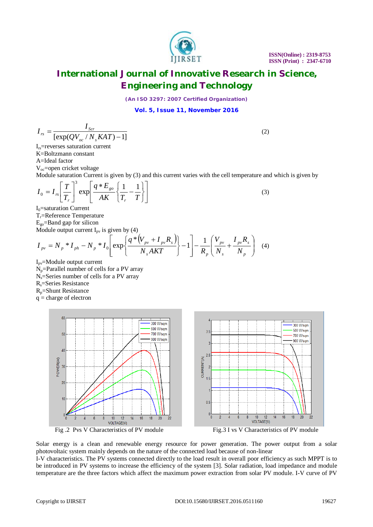(2)

(3)

### **International Journal of Innovative Research in Science, Engineering and Technology**

*(An ISO 3297: 2007 Certified Organization)*

**Vol. 5, Issue 11, November 2016**

$$
I_{rs} = \frac{I_{scr}}{[\exp(QV_{oc}/N_sKAT)-1]}
$$

Irs=reverses saturation current K=Boltzmann constant A=Ideal factor Voc=open cricket voltage

Module saturation Current is given by (3) and this current varies with the cell temperature and which is given by

$$
I_0 = I_{rs} \left[ \frac{T}{T_r} \right]^3 \exp \left[ \frac{q * E_{go}}{AK} \left\{ \frac{1}{T_r} - \frac{1}{T} \right\} \right]
$$

 $I<sub>0</sub>=$ saturation Current Tr=Reference Temperature  $E_{\text{go}}$ =Band gap for silicon Module output current  $I_{\text{av}}$  is given by (4)

$$
I_{pv} = N_p * I_{ph} - N_p * I_0 \left[ exp \left\{ \frac{q * (V_{pv} + I_{pv} R_s)}{N_s A K T} \right\} - 1 \right] - \frac{1}{R_p} \left( \frac{V_{pv}}{N_s} + \frac{I_{pv} R_s}{N_p} \right) \tag{4}
$$

 $I_{pv}$ =Module output current Np=Parallel number of cells for a PV array  $N_s$ =Series number of cells for a PV array Rs=Series Resistance

Rp=Shunt Resistance

 $q = charge of electron$ 







Solar energy is a clean and renewable energy resource for power generation. The power output from a solar photovoltaic system mainly depends on the nature of the connected load because of non-linear

I-V characteristics. The PV systems connected directly to the load result in overall poor efficiency as such MPPT is to be introduced in PV systems to increase the efficiency of the system [3]. Solar radiation, load impedance and module temperature are the three factors which affect the maximum power extraction from solar PV module. I-V curve of PV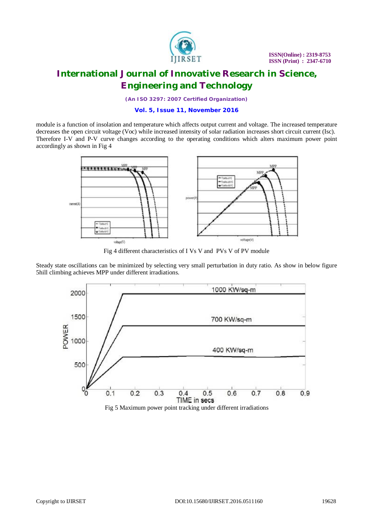

*(An ISO 3297: 2007 Certified Organization)*

#### **Vol. 5, Issue 11, November 2016**

module is a function of insolation and temperature which affects output current and voltage. The increased temperature decreases the open circuit voltage (Voc) while increased intensity of solar radiation increases short circuit current (Isc). Therefore I-V and P-V curve changes according to the operating conditions which alters maximum power point accordingly as shown in Fig 4



Fig 4 different characteristics of I Vs V and PVs V of PV module

Steady state oscillations can be minimized by selecting very small perturbation in duty ratio. As show in below figure 5hill climbing achieves MPP under different irradiations.

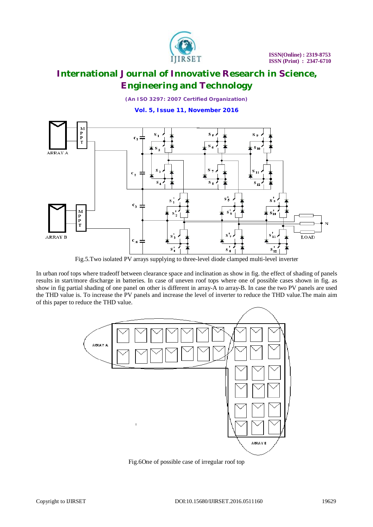

*(An ISO 3297: 2007 Certified Organization)*

**Vol. 5, Issue 11, November 2016**



Fig.5.Two isolated PV arrays supplying to three-level diode clamped multi-level inverter

In urban roof tops where tradeoff between clearance space and inclination as show in fig. the effect of shading of panels results in start/more discharge in batteries. In case of uneven roof tops where one of possible cases shown in fig. as show in fig partial shading of one panel on other is different in array-A to array-B. In case the two PV panels are used the THD value is. To increase the PV panels and increase the level of inverter to reduce the THD value.The main aim of this paper to reduce the THD value.



Fig.6One of possible case of irregular roof top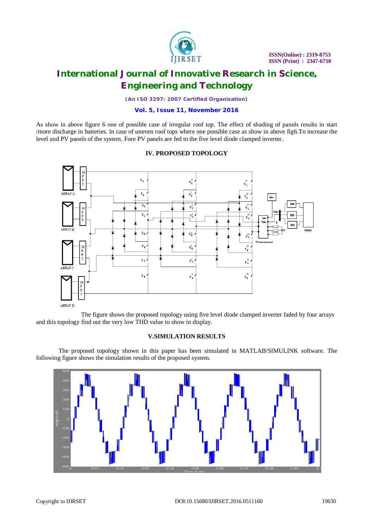

*(An ISO 3297: 2007 Certified Organization)*

#### **Vol. 5, Issue 11, November 2016**

As show in above figure 6 one of possible case of irregular roof top. The effect of shading of panels results in start /more discharge in batteries. In case of uneven roof tops where one possible case as show in above fig6.To increase the level and PV panels of the system. Fore PV panels are fed to the five level diode clamped inverter.

#### $s_1'$  $s_2'$  $s_{2}$  $\overline{\mathbf{s}}$  $s_3^{\prime}$  $s<sub>4</sub>$  $s_4$ <sup>t</sup>  $\overline{\mathbf{s}}$  $s_{\rm s}^*$  $\mathbf{s}^{\prime}$  $s_{6}$  $s'_6$  $s_{\tau}$  $s'.$  $\frac{1}{s}$  $s'_3$  $\overline{\mathbf{s}}$ ARRAY D

### **IV. PROPOSED TOPOLOGY**

The figure shows the proposed topology using five level diode clamped inverter faded by four arrays and this topology find out the very low THD value to show in display.

#### **V.SIMULATION RESULTS**

The proposed topology shown in this paper has been simulated in MATLAB/SIMULINK software. The following figure shows the simulation results of the proposed system.

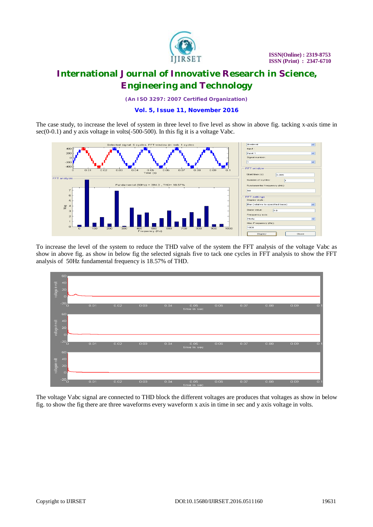

*(An ISO 3297: 2007 Certified Organization)*

#### **Vol. 5, Issue 11, November 2016**

The case study, to increase the level of system in three level to five level as show in above fig. tacking x-axis time in sec(0-0.1) and y axis voltage in volts(-500-500). In this fig it is a voltage Vabc.



To increase the level of the system to reduce the THD valve of the system the FFT analysis of the voltage Vabc as show in above fig. as show in below fig the selected signals five to tack one cycles in FFT analysis to show the FFT analysis of 50Hz fundamental frequency is 18.57% of THD.



The voltage Vabc signal are connected to THD block the different voltages are produces that voltages as show in below fig. to show the fig there are three waveforms every waveform x axis in time in sec and y axis voltage in volts.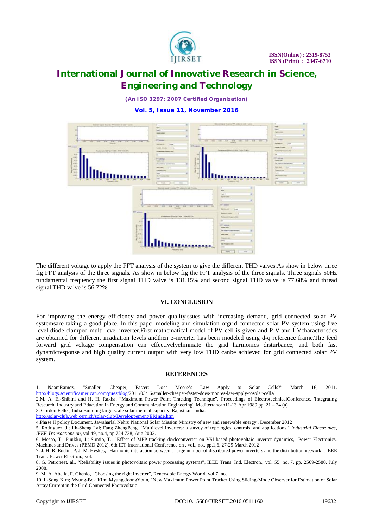

*(An ISO 3297: 2007 Certified Organization)*

**Vol. 5, Issue 11, November 2016**



The different voltage to apply the FFT analysis of the system to give the different THD valves.As show in below three fig FFT analysis of the three signals. As show in below fig the FFT analysis of the three signals. Three signals 50Hz fundamental frequency the first signal THD valve is 131.15% and second signal THD valve is 77.68% and thread signal THD valve is 56.72%.

#### **VI. CONCLUSION**

For improving the energy efficiency and power qualityissues with increasing demand, grid connected solar PV systemsare taking a good place. In this paper modeling and simulation ofgrid connected solar PV system using five level diode clamped multi-level inverter.First mathematical model of PV cell is given and P-V and I-Vcharacteristics are obtained for different irradiation levels andthen 3-inverter has been modeled using d-q reference frame.The feed forward grid voltage compensation can effectivelyeliminate the grid harmonics disturbance, and both fast dynamicresponse and high quality current output with very low THD canbe achieved for grid connected solar PV system.

#### **REFERENCES**

1. NaamRamez, "Smaller, Cheaper, Faster: Does Moore's Law Apply to Solar Cells?" March 16, 2011. <http://blogs.scientificamerican.com/guestblog/2011/03/16/smaller-cheaper-faster-does-moores-law-apply-tosolar-cells/>

2.M. A. El-Shibini and H. H. Rakha, "Maximum Power Point Tracking Technique", Proceedings of ElectrotechnicalConference, 'Integrating Research, Industry and Education in Energy and Communication Engineering', Mediterranean11-13 Apr 1989 pp. 21 – 24.(a)

3. Gordon Feller, India Building large-scale solar thermal capacity. Rajasthan, India.

<http://solar-club.web.cern.ch/solar-club/Developpement/ERInde.htm>

4.Phase II policy Document, Jawaharlal Nehru National Solar Mission,Ministry of new and renewable energy , December 2012

5. Rodriguez, J.; Jih-Sheng Lai; Fang ZhengPeng, "Multilevel inverters: a survey of topologies, controls, and applications," *Industrial Electronics, IEEE Transactions on*, vol.49, no.4, pp.724,738, Aug 2002.

6. Messo, T.; Puukko, J.; Suntio, T., "Effect of MPP-tracking dc/dcconverter on VSI-based photovoltaic inverter dynamics," Power Electronics, Machines and Drives (PEMD 2012), 6th IET International Conference on , vol., no., pp.1,6, 27-29 March 2012

9. M. A. Abella, F. Chenlo, "Choosing the right inverter", Renewable Energy World, vol.7, no.

<sup>7.</sup> J. H. R. Enslin, P. J. M. Heskes, "Harmonic interaction between a large number of distributed power inverters and the distribution network", IEEE Trans. Power Electron*.*, vol.

<sup>8.</sup> G. Petroneet. al., "Reliability issues in photovoltaic power processing systems", IEEE Trans. Ind. Electron., vol. 55, no. 7, pp. 2569-2580, July 2008.

<sup>10.</sup> Il-Song Kim; Myung-Bok Kim; Myung-JoongYoun, "New Maximum Power Point Tracker Using Sliding-Mode Observer for Estimation of Solar Array Current in the Grid-Connected Photovoltaic